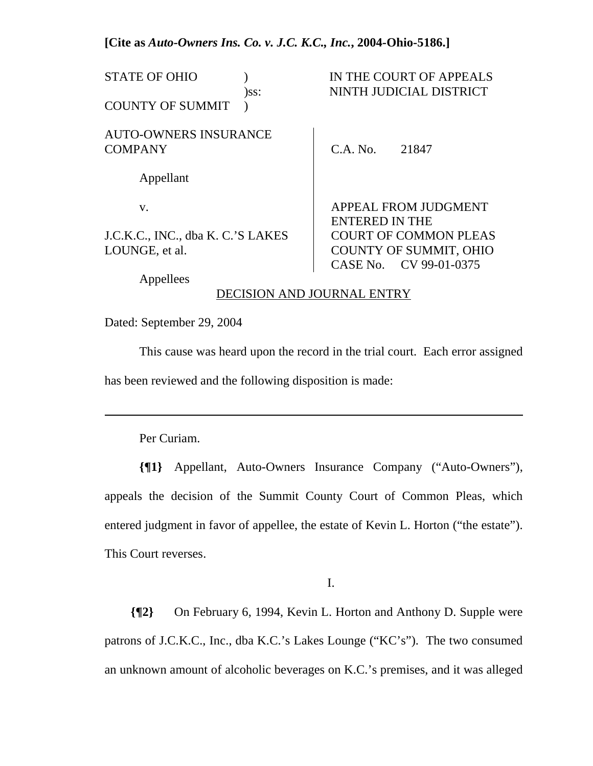#### **[Cite as** *Auto-Owners Ins. Co. v. J.C. K.C., Inc.***, 2004-Ohio-5186.]**

| <b>STATE OF OHIO</b>                                | $)$ ss: |                       | IN THE COURT OF APPEALS<br>NINTH JUDICIAL DISTRICT            |
|-----------------------------------------------------|---------|-----------------------|---------------------------------------------------------------|
| <b>COUNTY OF SUMMIT</b>                             |         |                       |                                                               |
| <b>AUTO-OWNERS INSURANCE</b><br><b>COMPANY</b>      |         | C.A. No.              | 21847                                                         |
| Appellant                                           |         |                       |                                                               |
|                                                     |         |                       |                                                               |
| V.                                                  |         | <b>ENTERED IN THE</b> | APPEAL FROM JUDGMENT                                          |
| J.C.K.C., INC., dba K. C.'S LAKES<br>LOUNGE, et al. |         |                       | <b>COURT OF COMMON PLEAS</b><br><b>COUNTY OF SUMMIT, OHIO</b> |
|                                                     |         |                       | CASE No. CV 99-01-0375                                        |

Appellees

#### DECISION AND JOURNAL ENTRY

Dated: September 29, 2004

 This cause was heard upon the record in the trial court. Each error assigned has been reviewed and the following disposition is made:

Per Curiam.

l

**{¶1}** Appellant, Auto-Owners Insurance Company ("Auto-Owners"), appeals the decision of the Summit County Court of Common Pleas, which entered judgment in favor of appellee, the estate of Kevin L. Horton ("the estate"). This Court reverses.

I.

**{¶2}** On February 6, 1994, Kevin L. Horton and Anthony D. Supple were patrons of J.C.K.C., Inc., dba K.C.'s Lakes Lounge ("KC's"). The two consumed an unknown amount of alcoholic beverages on K.C.'s premises, and it was alleged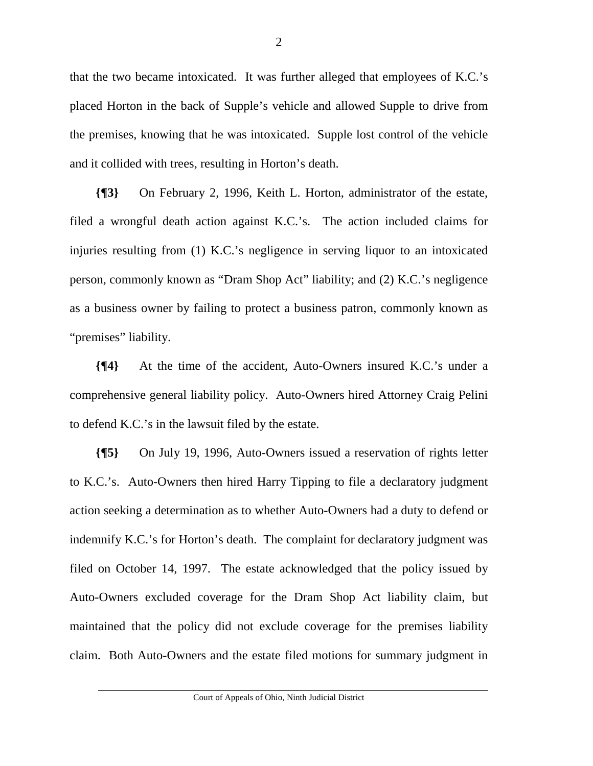that the two became intoxicated. It was further alleged that employees of K.C.'s placed Horton in the back of Supple's vehicle and allowed Supple to drive from the premises, knowing that he was intoxicated. Supple lost control of the vehicle and it collided with trees, resulting in Horton's death.

**{¶3}** On February 2, 1996, Keith L. Horton, administrator of the estate, filed a wrongful death action against K.C.'s. The action included claims for injuries resulting from (1) K.C.'s negligence in serving liquor to an intoxicated person, commonly known as "Dram Shop Act" liability; and (2) K.C.'s negligence as a business owner by failing to protect a business patron, commonly known as "premises" liability.

**{¶4}** At the time of the accident, Auto-Owners insured K.C.'s under a comprehensive general liability policy. Auto-Owners hired Attorney Craig Pelini to defend K.C.'s in the lawsuit filed by the estate.

**{¶5}** On July 19, 1996, Auto-Owners issued a reservation of rights letter to K.C.'s. Auto-Owners then hired Harry Tipping to file a declaratory judgment action seeking a determination as to whether Auto-Owners had a duty to defend or indemnify K.C.'s for Horton's death. The complaint for declaratory judgment was filed on October 14, 1997. The estate acknowledged that the policy issued by Auto-Owners excluded coverage for the Dram Shop Act liability claim, but maintained that the policy did not exclude coverage for the premises liability claim. Both Auto-Owners and the estate filed motions for summary judgment in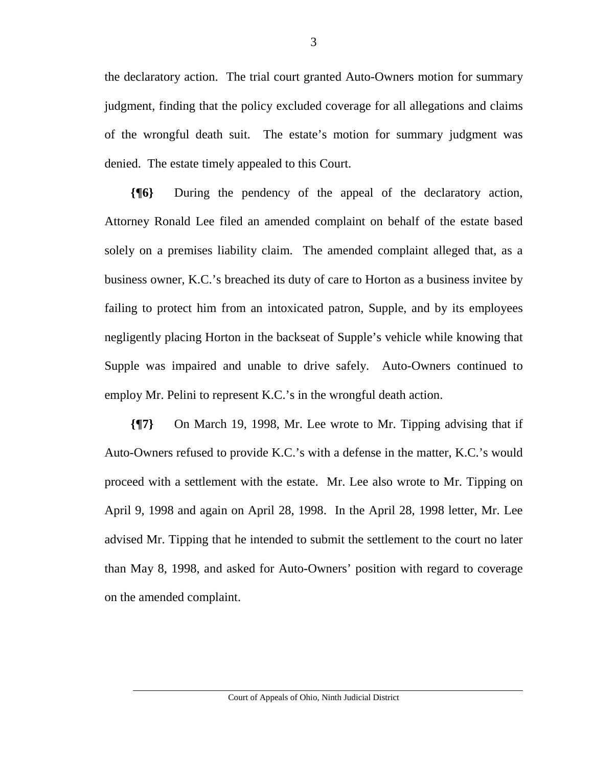the declaratory action. The trial court granted Auto-Owners motion for summary judgment, finding that the policy excluded coverage for all allegations and claims of the wrongful death suit. The estate's motion for summary judgment was denied. The estate timely appealed to this Court.

**{¶6}** During the pendency of the appeal of the declaratory action, Attorney Ronald Lee filed an amended complaint on behalf of the estate based solely on a premises liability claim. The amended complaint alleged that, as a business owner, K.C.'s breached its duty of care to Horton as a business invitee by failing to protect him from an intoxicated patron, Supple, and by its employees negligently placing Horton in the backseat of Supple's vehicle while knowing that Supple was impaired and unable to drive safely. Auto-Owners continued to employ Mr. Pelini to represent K.C.'s in the wrongful death action.

**{¶7}** On March 19, 1998, Mr. Lee wrote to Mr. Tipping advising that if Auto-Owners refused to provide K.C.'s with a defense in the matter, K.C.'s would proceed with a settlement with the estate. Mr. Lee also wrote to Mr. Tipping on April 9, 1998 and again on April 28, 1998. In the April 28, 1998 letter, Mr. Lee advised Mr. Tipping that he intended to submit the settlement to the court no later than May 8, 1998, and asked for Auto-Owners' position with regard to coverage on the amended complaint.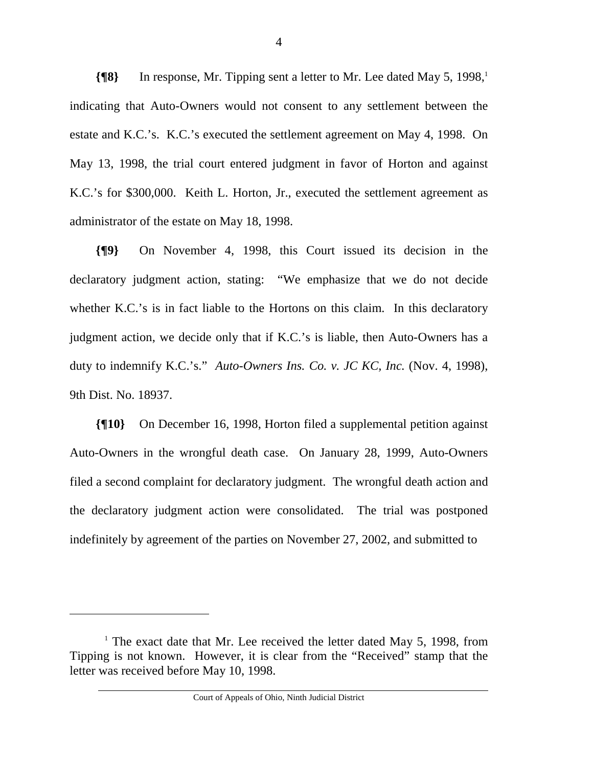**{** $\text{[8]}$  In response, Mr. Tipping sent a letter to Mr. Lee dated May 5, 1998,<sup>1</sup> indicating that Auto-Owners would not consent to any settlement between the estate and K.C.'s. K.C.'s executed the settlement agreement on May 4, 1998. On May 13, 1998, the trial court entered judgment in favor of Horton and against K.C.'s for \$300,000. Keith L. Horton, Jr., executed the settlement agreement as administrator of the estate on May 18, 1998.

**{¶9}** On November 4, 1998, this Court issued its decision in the declaratory judgment action, stating: "We emphasize that we do not decide whether K.C.'s is in fact liable to the Hortons on this claim. In this declaratory judgment action, we decide only that if K.C.'s is liable, then Auto-Owners has a duty to indemnify K.C.'s." *Auto-Owners Ins. Co. v. JC KC, Inc.* (Nov. 4, 1998), 9th Dist. No. 18937.

**{¶10}** On December 16, 1998, Horton filed a supplemental petition against Auto-Owners in the wrongful death case. On January 28, 1999, Auto-Owners filed a second complaint for declaratory judgment. The wrongful death action and the declaratory judgment action were consolidated. The trial was postponed indefinitely by agreement of the parties on November 27, 2002, and submitted to

 $\overline{a}$ 

<sup>&</sup>lt;sup>1</sup> The exact date that Mr. Lee received the letter dated May 5, 1998, from Tipping is not known. However, it is clear from the "Received" stamp that the letter was received before May 10, 1998.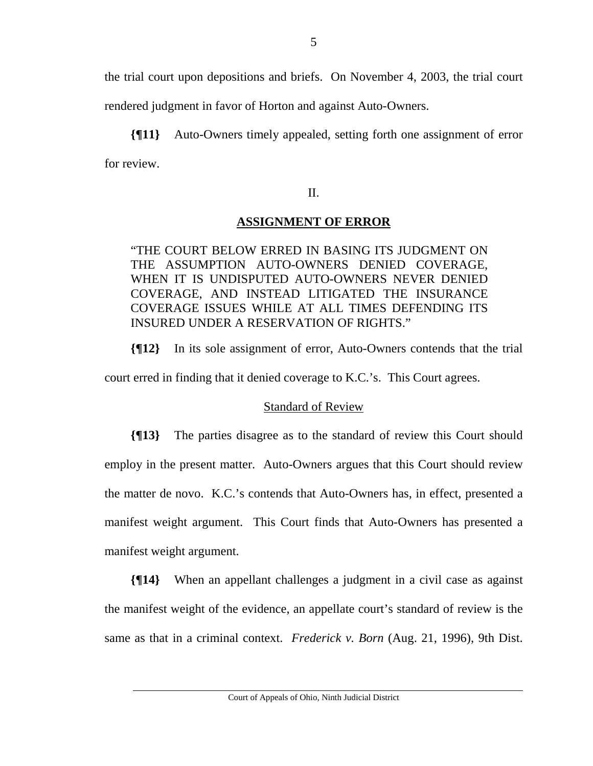the trial court upon depositions and briefs. On November 4, 2003, the trial court rendered judgment in favor of Horton and against Auto-Owners.

**{¶11}** Auto-Owners timely appealed, setting forth one assignment of error for review.

#### II.

# **ASSIGNMENT OF ERROR**

"THE COURT BELOW ERRED IN BASING ITS JUDGMENT ON THE ASSUMPTION AUTO-OWNERS DENIED COVERAGE, WHEN IT IS UNDISPUTED AUTO-OWNERS NEVER DENIED COVERAGE, AND INSTEAD LITIGATED THE INSURANCE COVERAGE ISSUES WHILE AT ALL TIMES DEFENDING ITS INSURED UNDER A RESERVATION OF RIGHTS."

**{¶12}** In its sole assignment of error, Auto-Owners contends that the trial court erred in finding that it denied coverage to K.C.'s. This Court agrees.

# Standard of Review

**{¶13}** The parties disagree as to the standard of review this Court should employ in the present matter. Auto-Owners argues that this Court should review the matter de novo. K.C.'s contends that Auto-Owners has, in effect, presented a manifest weight argument. This Court finds that Auto-Owners has presented a manifest weight argument.

**{¶14}** When an appellant challenges a judgment in a civil case as against the manifest weight of the evidence, an appellate court's standard of review is the same as that in a criminal context. *Frederick v. Born* (Aug. 21, 1996), 9th Dist.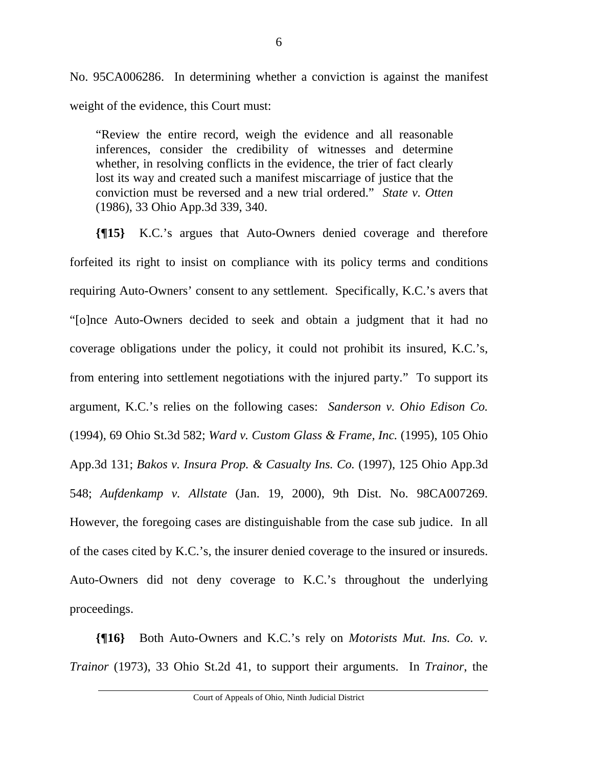No. 95CA006286. In determining whether a conviction is against the manifest weight of the evidence, this Court must:

"Review the entire record, weigh the evidence and all reasonable inferences, consider the credibility of witnesses and determine whether, in resolving conflicts in the evidence, the trier of fact clearly lost its way and created such a manifest miscarriage of justice that the conviction must be reversed and a new trial ordered." *State v. Otten* (1986), 33 Ohio App.3d 339, 340.

**{¶15}** K.C.'s argues that Auto-Owners denied coverage and therefore forfeited its right to insist on compliance with its policy terms and conditions requiring Auto-Owners' consent to any settlement. Specifically, K.C.'s avers that "[o]nce Auto-Owners decided to seek and obtain a judgment that it had no coverage obligations under the policy, it could not prohibit its insured, K.C.'s, from entering into settlement negotiations with the injured party." To support its argument, K.C.'s relies on the following cases: *Sanderson v. Ohio Edison Co.*  (1994), 69 Ohio St.3d 582; *Ward v. Custom Glass & Frame, Inc.* (1995), 105 Ohio App.3d 131; *Bakos v. Insura Prop. & Casualty Ins. Co.* (1997), 125 Ohio App.3d 548; *Aufdenkamp v. Allstate* (Jan. 19, 2000), 9th Dist. No. 98CA007269. However, the foregoing cases are distinguishable from the case sub judice. In all of the cases cited by K.C.'s, the insurer denied coverage to the insured or insureds. Auto-Owners did not deny coverage to K.C.'s throughout the underlying proceedings.

**{¶16}** Both Auto-Owners and K.C.'s rely on *Motorists Mut. Ins. Co. v. Trainor* (1973), 33 Ohio St.2d 41, to support their arguments. In *Trainor*, the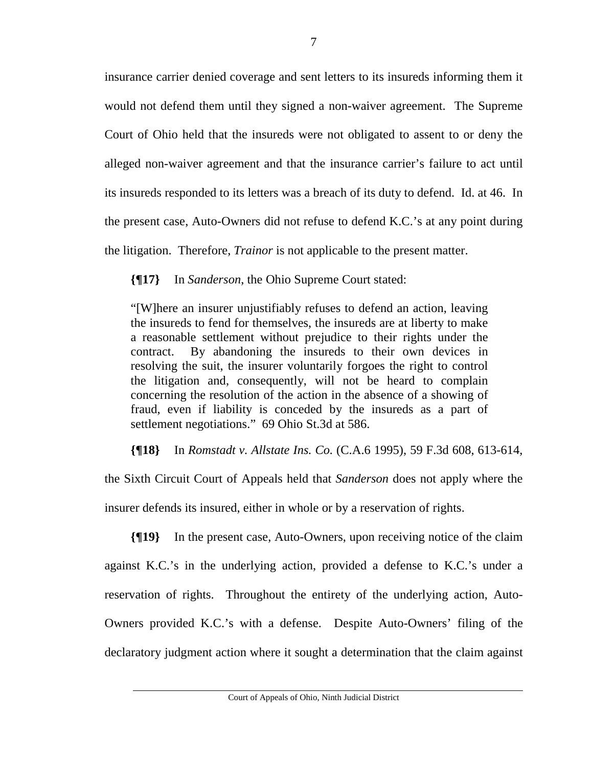insurance carrier denied coverage and sent letters to its insureds informing them it would not defend them until they signed a non-waiver agreement. The Supreme Court of Ohio held that the insureds were not obligated to assent to or deny the alleged non-waiver agreement and that the insurance carrier's failure to act until its insureds responded to its letters was a breach of its duty to defend. Id. at 46. In the present case, Auto-Owners did not refuse to defend K.C.'s at any point during the litigation. Therefore, *Trainor* is not applicable to the present matter.

**{¶17}** In *Sanderson*, the Ohio Supreme Court stated:

"[W]here an insurer unjustifiably refuses to defend an action, leaving the insureds to fend for themselves, the insureds are at liberty to make a reasonable settlement without prejudice to their rights under the contract. By abandoning the insureds to their own devices in resolving the suit, the insurer voluntarily forgoes the right to control the litigation and, consequently, will not be heard to complain concerning the resolution of the action in the absence of a showing of fraud, even if liability is conceded by the insureds as a part of settlement negotiations." 69 Ohio St.3d at 586.

**{¶18}** In *Romstadt v. Allstate Ins. Co.* (C.A.6 1995), 59 F.3d 608, 613-614,

the Sixth Circuit Court of Appeals held that *Sanderson* does not apply where the

insurer defends its insured, either in whole or by a reservation of rights.

**{¶19}** In the present case, Auto-Owners, upon receiving notice of the claim against K.C.'s in the underlying action, provided a defense to K.C.'s under a reservation of rights. Throughout the entirety of the underlying action, Auto-Owners provided K.C.'s with a defense. Despite Auto-Owners' filing of the declaratory judgment action where it sought a determination that the claim against

Court of Appeals of Ohio, Ninth Judicial District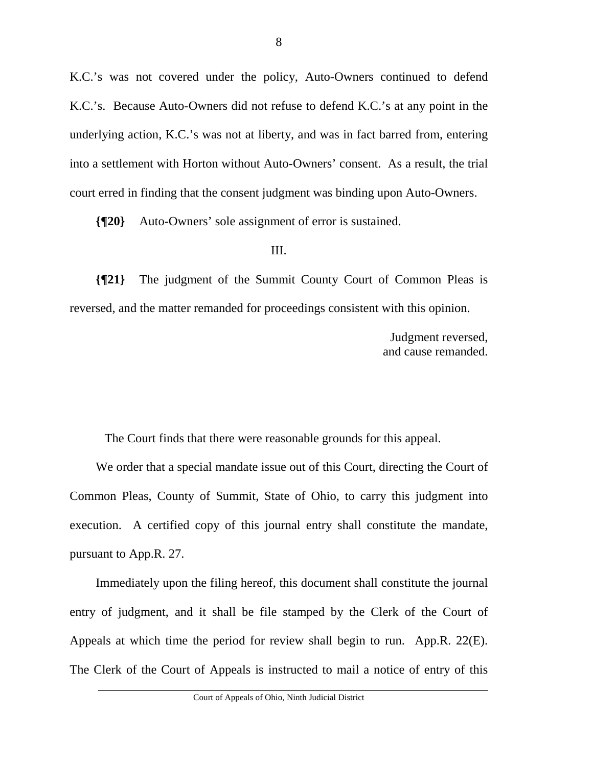K.C.'s was not covered under the policy, Auto-Owners continued to defend K.C.'s. Because Auto-Owners did not refuse to defend K.C.'s at any point in the underlying action, K.C.'s was not at liberty, and was in fact barred from, entering into a settlement with Horton without Auto-Owners' consent. As a result, the trial court erred in finding that the consent judgment was binding upon Auto-Owners.

**{¶20}** Auto-Owners' sole assignment of error is sustained.

#### III.

**{¶21}** The judgment of the Summit County Court of Common Pleas is reversed, and the matter remanded for proceedings consistent with this opinion.

> Judgment reversed, and cause remanded.

The Court finds that there were reasonable grounds for this appeal.

We order that a special mandate issue out of this Court, directing the Court of Common Pleas, County of Summit, State of Ohio, to carry this judgment into execution. A certified copy of this journal entry shall constitute the mandate, pursuant to App.R. 27.

Immediately upon the filing hereof, this document shall constitute the journal entry of judgment, and it shall be file stamped by the Clerk of the Court of Appeals at which time the period for review shall begin to run. App.R. 22(E). The Clerk of the Court of Appeals is instructed to mail a notice of entry of this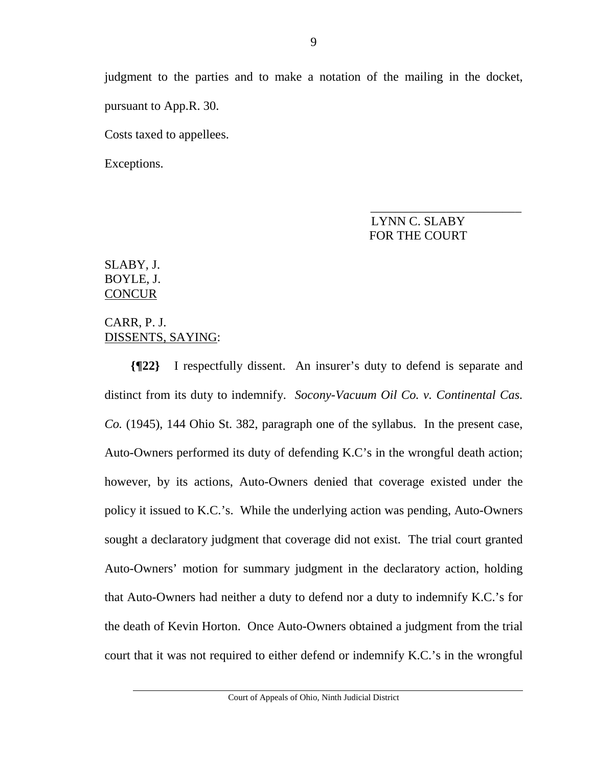judgment to the parties and to make a notation of the mailing in the docket, pursuant to App.R. 30.

Costs taxed to appellees.

Exceptions.

# $\overline{\phantom{a}}$  , and the contract of the contract of the contract of the contract of the contract of the contract of the contract of the contract of the contract of the contract of the contract of the contract of the contrac LYNN C. SLABY FOR THE COURT

# SLABY, J. BOYLE, J. **CONCUR**

# CARR, P. J. DISSENTS, SAYING:

**{¶22}** I respectfully dissent. An insurer's duty to defend is separate and distinct from its duty to indemnify. *Socony-Vacuum Oil Co. v. Continental Cas. Co.* (1945), 144 Ohio St. 382, paragraph one of the syllabus. In the present case, Auto-Owners performed its duty of defending K.C's in the wrongful death action; however, by its actions, Auto-Owners denied that coverage existed under the policy it issued to K.C.'s. While the underlying action was pending, Auto-Owners sought a declaratory judgment that coverage did not exist. The trial court granted Auto-Owners' motion for summary judgment in the declaratory action, holding that Auto-Owners had neither a duty to defend nor a duty to indemnify K.C.'s for the death of Kevin Horton. Once Auto-Owners obtained a judgment from the trial court that it was not required to either defend or indemnify K.C.'s in the wrongful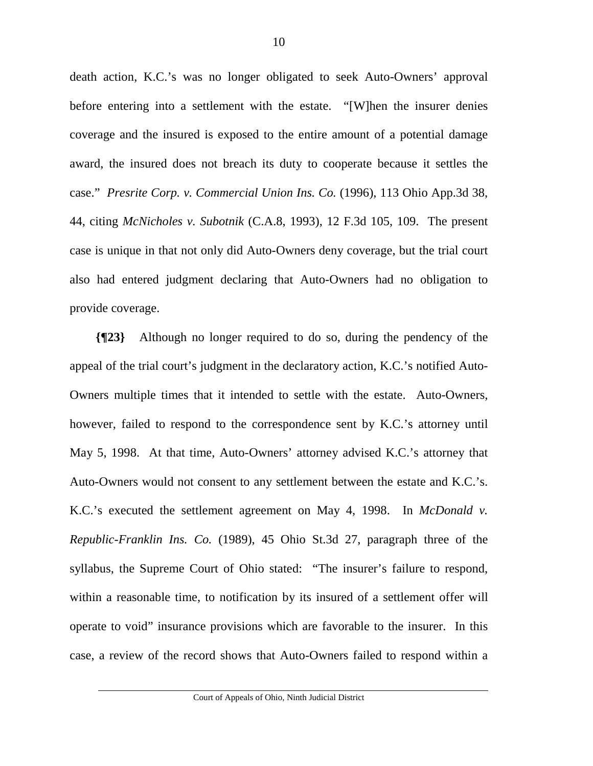death action, K.C.'s was no longer obligated to seek Auto-Owners' approval before entering into a settlement with the estate. "[W]hen the insurer denies coverage and the insured is exposed to the entire amount of a potential damage award, the insured does not breach its duty to cooperate because it settles the case." *Presrite Corp. v. Commercial Union Ins. Co.* (1996), 113 Ohio App.3d 38, 44, citing *McNicholes v. Subotnik* (C.A.8, 1993), 12 F.3d 105, 109. The present case is unique in that not only did Auto-Owners deny coverage, but the trial court also had entered judgment declaring that Auto-Owners had no obligation to provide coverage.

**{¶23}** Although no longer required to do so, during the pendency of the appeal of the trial court's judgment in the declaratory action, K.C.'s notified Auto-Owners multiple times that it intended to settle with the estate. Auto-Owners, however, failed to respond to the correspondence sent by K.C.'s attorney until May 5, 1998. At that time, Auto-Owners' attorney advised K.C.'s attorney that Auto-Owners would not consent to any settlement between the estate and K.C.'s. K.C.'s executed the settlement agreement on May 4, 1998. In *McDonald v. Republic-Franklin Ins. Co.* (1989), 45 Ohio St.3d 27, paragraph three of the syllabus, the Supreme Court of Ohio stated: "The insurer's failure to respond, within a reasonable time, to notification by its insured of a settlement offer will operate to void" insurance provisions which are favorable to the insurer. In this case, a review of the record shows that Auto-Owners failed to respond within a